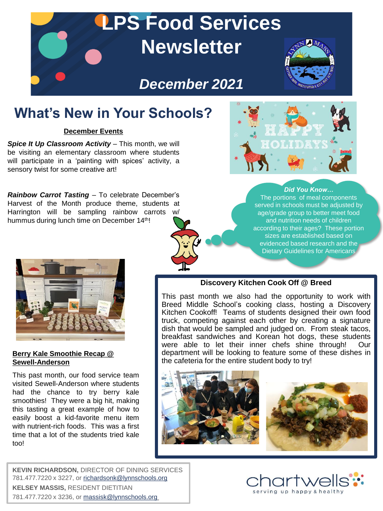

# **What's New in Your Schools?**

### **December Events**

*Spice It Up Classroom Activity* – This month, we will be visiting an elementary classroom where students will participate in a 'painting with spices' activity, a sensory twist for some creative art!

*Rainbow Carrot Tasting* – To celebrate December's Harvest of the Month produce theme, students at Harrington will be sampling rainbow carrots w/ hummus during lunch time on December 14<sup>th</sup>!



#### *Did You Know…* The portions of meal components served in schools must be adjusted by age/grade group to better meet food and nutrition needs of children according to their ages? These portion sizes are established based on evidenced based research and the Dietary Guidelines for Americans

### **Discovery Kitchen Cook Off @ Breed**

This past month we also had the opportunity to work with Breed Middle School's cooking class, hosting a Discovery Kitchen Cookoff! Teams of students designed their own food truck, competing against each other by creating a signature dish that would be sampled and judged on. From steak tacos, breakfast sandwiches and Korean hot dogs, these students were able to let their inner chefs shine through! Our department will be looking to feature some of these dishes in the cafeteria for the entire student body to try!



**KEVIN RICHARDSON,** DIRECTOR OF DINING SERVICES 781.477.7220 x 3227, or [richardsonk@lynnschools.org](mailto:richardsonk@lynnschools.org) **KELSEY MASSIS,** RESIDENT DIETITIAN 781.477.7220 x 3236, or [massisk@lynnschools.org](mailto:massisk@lynnschools.org)





### **Berry Kale Smoothie Recap @ Sewell-Anderson**

This past month, our food service team visited Sewell-Anderson where students had the chance to try berry kale smoothies! They were a big hit, making this tasting a great example of how to easily boost a kid-favorite menu item with nutrient-rich foods. This was a first time that a lot of the students tried kale too!